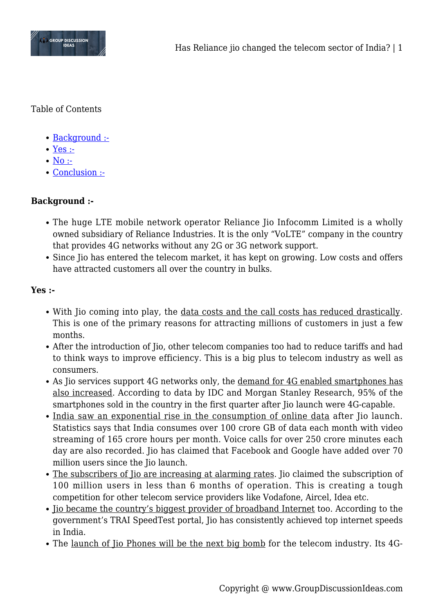

Table of Contents

- [Background :-](#page--1-0)
- [Yes :-](#page--1-0)
- $\bullet$  [No :-](#page--1-0)
- [Conclusion :-](#page--1-0)

## **Background :-**

- The huge LTE mobile network operator Reliance Jio Infocomm Limited is a wholly owned subsidiary of Reliance Industries. It is the only "VoLTE" company in the country that provides 4G networks without any 2G or 3G network support.
- Since Jio has entered the telecom market, it has kept on growing. Low costs and offers have attracted customers all over the country in bulks.

## **Yes :-**

- With Jio coming into play, the data costs and the call costs has reduced drastically. This is one of the primary reasons for attracting millions of customers in just a few months.
- After the introduction of Jio, other telecom companies too had to reduce tariffs and had to think ways to improve efficiency. This is a big plus to telecom industry as well as consumers.
- As Jio services support 4G networks only, the demand for 4G enabled smartphones has also increased. According to data by IDC and Morgan Stanley Research, 95% of the smartphones sold in the country in the first quarter after Jio launch were 4G-capable.
- India saw an exponential rise in the consumption of online data after Jio launch. Statistics says that India consumes over 100 crore GB of data each month with video streaming of 165 crore hours per month. Voice calls for over 250 crore minutes each day are also recorded. Jio has claimed that Facebook and Google have added over 70 million users since the Jio launch.
- The subscribers of Jio are increasing at alarming rates. Jio claimed the subscription of 100 million users in less than 6 months of operation. This is creating a tough competition for other telecom service providers like Vodafone, Aircel, Idea etc.
- Jio became the country's biggest provider of broadband Internet too. According to the government's TRAI SpeedTest portal, Jio has consistently achieved top internet speeds in India.
- The launch of Jio Phones will be the next big bomb for the telecom industry. Its 4G-